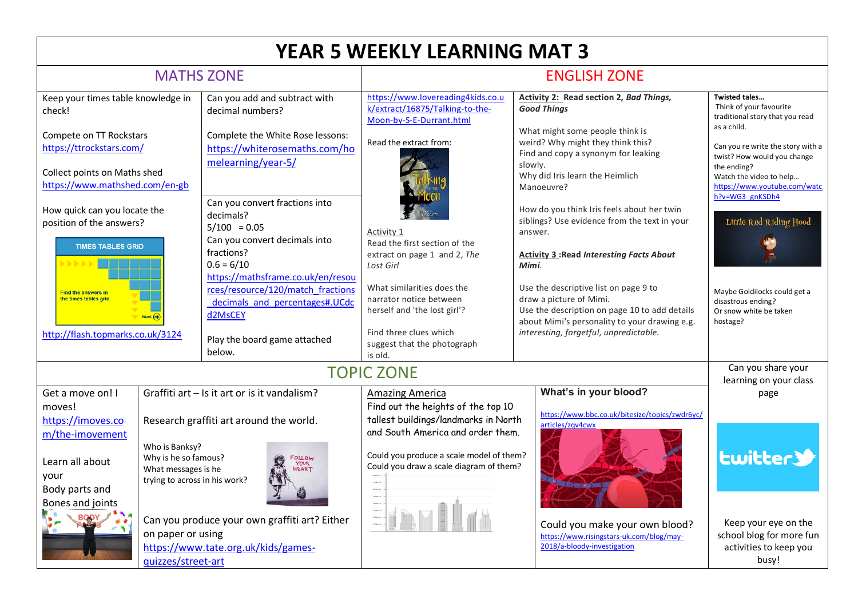| <b>YEAR 5 WEEKLY LEARNING MAT 3</b>                                                                                                                                                                                                                                                                                                                                                                                                                                      |                        |                                                                                                                                                                                                                                                                                                                                                                                                     |                                                                                                                                                                                                                                                                                                                 |                                                                                                                                                                                                                                                                                                                                                                                                                                                                                                                                                                                            |                                                                                                                                                                                                                                                                                                                                                                                          |
|--------------------------------------------------------------------------------------------------------------------------------------------------------------------------------------------------------------------------------------------------------------------------------------------------------------------------------------------------------------------------------------------------------------------------------------------------------------------------|------------------------|-----------------------------------------------------------------------------------------------------------------------------------------------------------------------------------------------------------------------------------------------------------------------------------------------------------------------------------------------------------------------------------------------------|-----------------------------------------------------------------------------------------------------------------------------------------------------------------------------------------------------------------------------------------------------------------------------------------------------------------|--------------------------------------------------------------------------------------------------------------------------------------------------------------------------------------------------------------------------------------------------------------------------------------------------------------------------------------------------------------------------------------------------------------------------------------------------------------------------------------------------------------------------------------------------------------------------------------------|------------------------------------------------------------------------------------------------------------------------------------------------------------------------------------------------------------------------------------------------------------------------------------------------------------------------------------------------------------------------------------------|
| <b>MATHS ZONE</b>                                                                                                                                                                                                                                                                                                                                                                                                                                                        |                        |                                                                                                                                                                                                                                                                                                                                                                                                     | <b>ENGLISH ZONE</b>                                                                                                                                                                                                                                                                                             |                                                                                                                                                                                                                                                                                                                                                                                                                                                                                                                                                                                            |                                                                                                                                                                                                                                                                                                                                                                                          |
| Keep your times table knowledge in<br>check!<br>Compete on TT Rockstars<br>https://ttrockstars.com/<br>Collect points on Maths shed<br>https://www.mathshed.com/en-gb<br>How quick can you locate the<br>position of the answers?<br><b>TIMES TABLES GRID</b><br><b>Find the answers in</b><br>the times tables grid.                                                                                                                                                    | $Next ( \rightarrow )$ | Can you add and subtract with<br>decimal numbers?<br>Complete the White Rose lessons:<br>https://whiterosemaths.com/ho<br>melearning/year-5/<br>Can you convert fractions into<br>decimals?<br>$5/100 = 0.05$<br>Can you convert decimals into<br>fractions?<br>$0.6 = 6/10$<br>https://mathsframe.co.uk/en/resou<br>rces/resource/120/match fractions<br>decimals and percentages#.UCdc<br>d2MsCEY | https://www.lovereading4kids.co.u<br>k/extract/16875/Talking-to-the-<br>Moon-by-S-E-Durrant.html<br>Read the extract from:<br>Activity 1<br>Read the first section of the<br>extract on page 1 and 2, The<br>Lost Girl<br>What similarities does the<br>narrator notice between<br>herself and 'the lost girl'? | <b>Activity 2: Read section 2, Bad Things,</b><br><b>Good Things</b><br>What might some people think is<br>weird? Why might they think this?<br>Find and copy a synonym for leaking<br>slowly.<br>Why did Iris learn the Heimlich<br>Manoeuvre?<br>How do you think Iris feels about her twin<br>siblings? Use evidence from the text in your<br>answer.<br><b>Activity 3: Read Interesting Facts About</b><br>Mimi.<br>Use the descriptive list on page 9 to<br>draw a picture of Mimi.<br>Use the description on page 10 to add details<br>about Mimi's personality to your drawing e.g. | <b>Twisted tales</b><br>Think of your favourite<br>traditional story that you read<br>as a child.<br>Can you re write the story with a<br>twist? How would you change<br>the ending?<br>Watch the video to help<br>https://www.youtube.com/watc<br>h?v=WG3_gnKSDh4<br>Little Red Riding Hood<br>Maybe Goldilocks could get a<br>disastrous ending?<br>Or snow white be taken<br>hostage? |
| http://flash.topmarks.co.uk/3124                                                                                                                                                                                                                                                                                                                                                                                                                                         |                        | Play the board game attached<br>below.                                                                                                                                                                                                                                                                                                                                                              | Find three clues which<br>suggest that the photograph<br>is old.                                                                                                                                                                                                                                                | interesting, forgetful, unpredictable.                                                                                                                                                                                                                                                                                                                                                                                                                                                                                                                                                     |                                                                                                                                                                                                                                                                                                                                                                                          |
| <b>TOPIC ZONE</b>                                                                                                                                                                                                                                                                                                                                                                                                                                                        |                        |                                                                                                                                                                                                                                                                                                                                                                                                     |                                                                                                                                                                                                                                                                                                                 |                                                                                                                                                                                                                                                                                                                                                                                                                                                                                                                                                                                            | Can you share your<br>learning on your class                                                                                                                                                                                                                                                                                                                                             |
| Graffiti art - Is it art or is it vandalism?<br>Get a move on! I<br>moves!<br>https://imoves.co<br>Research graffiti art around the world.<br>m/the-imovement<br>Who is Banksy?<br>Why is he so famous?<br>FOLLOW<br>Learn all about<br>YOUR<br>HEART<br>What messages is he<br>your<br>trying to across in his work?<br>Body parts and<br>Bones and joints<br>Can you produce your own graffiti art? Either<br>on paper or using<br>https://www.tate.org.uk/kids/games- |                        | <b>Amazing America</b><br>Find out the heights of the top 10<br>tallest buildings/landmarks in North<br>and South America and order them.<br>Could you produce a scale model of them?<br>Could you draw a scale diagram of them?                                                                                                                                                                    | What's in your blood?<br>https://www.bbc.co.uk/bitesize/topics/zwdr6yc/<br>articles/zqv4cwx<br>Could you make your own blood?<br>https://www.risingstars-uk.com/blog/may-<br>2018/a-bloody-investigation                                                                                                        | page<br><b>Lwitter3</b><br>Keep your eye on the<br>school blog for more fun<br>activities to keep you                                                                                                                                                                                                                                                                                                                                                                                                                                                                                      |                                                                                                                                                                                                                                                                                                                                                                                          |
|                                                                                                                                                                                                                                                                                                                                                                                                                                                                          | quizzes/street-art     |                                                                                                                                                                                                                                                                                                                                                                                                     |                                                                                                                                                                                                                                                                                                                 |                                                                                                                                                                                                                                                                                                                                                                                                                                                                                                                                                                                            | busy!                                                                                                                                                                                                                                                                                                                                                                                    |